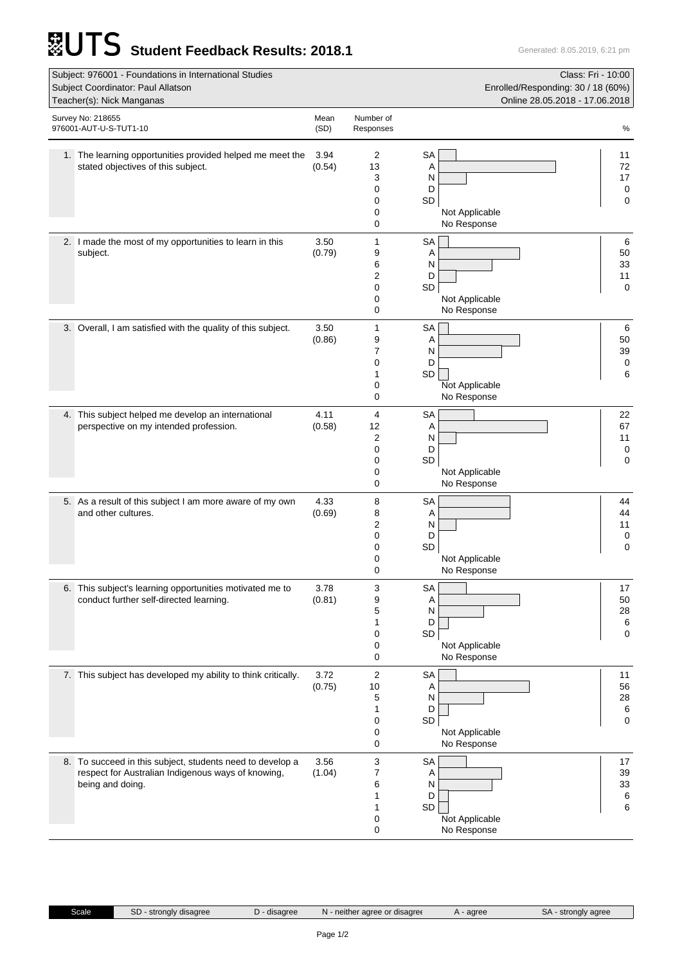## **STUTS** Student Feedback Results: 2018.1 Generated: 8.05.2019, 6:21 pm

| Subject: 976001 - Foundations in International Studies<br>Class: Fri - 10:00<br>Subject Coordinator: Paul Allatson<br>Enrolled/Responding: 30 / 18 (60%)<br>Online 28.05.2018 - 17.06.2018<br>Teacher(s): Nick Manganas |                                                                                                                                     |                |                                  |                                                                            |                                    |  |  |
|-------------------------------------------------------------------------------------------------------------------------------------------------------------------------------------------------------------------------|-------------------------------------------------------------------------------------------------------------------------------------|----------------|----------------------------------|----------------------------------------------------------------------------|------------------------------------|--|--|
| Survey No: 218655<br>976001-AUT-U-S-TUT1-10                                                                                                                                                                             |                                                                                                                                     |                | Number of<br>Responses           |                                                                            | $\%$                               |  |  |
|                                                                                                                                                                                                                         | 1. The learning opportunities provided helped me meet the<br>stated objectives of this subject.                                     | 3.94<br>(0.54) | 2<br>13<br>3<br>0<br>0<br>0<br>0 | <b>SA</b><br>Α<br>N<br>D<br><b>SD</b><br>Not Applicable<br>No Response     | 11<br>72<br>17<br>0<br>0           |  |  |
|                                                                                                                                                                                                                         | 2. I made the most of my opportunities to learn in this<br>subject.                                                                 | 3.50<br>(0.79) | 1<br>9<br>6<br>2<br>0<br>0<br>0  | <b>SA</b><br>Α<br>N<br>D<br>SD<br>Not Applicable<br>No Response            | 6<br>50<br>33<br>11<br>0           |  |  |
|                                                                                                                                                                                                                         | 3. Overall, I am satisfied with the quality of this subject.                                                                        | 3.50<br>(0.86) | 1<br>9<br>7<br>0<br>1<br>0<br>0  | <b>SA</b><br>Α<br>N<br>D<br>SD<br>Not Applicable<br>No Response            | 6<br>50<br>39<br>0<br>6            |  |  |
|                                                                                                                                                                                                                         | 4. This subject helped me develop an international<br>perspective on my intended profession.                                        | 4.11<br>(0.58) | 4<br>12<br>2<br>0<br>0<br>0<br>0 | <b>SA</b><br>Α<br>N<br>D<br>SD<br>Not Applicable<br>No Response            | 22<br>67<br>11<br>0<br>0           |  |  |
|                                                                                                                                                                                                                         | 5. As a result of this subject I am more aware of my own<br>and other cultures.                                                     | 4.33<br>(0.69) | 8<br>8<br>2<br>0<br>0<br>0<br>0  | <b>SA</b><br>Α<br>N<br>D<br>SD<br>Not Applicable<br>No Response            | 44<br>44<br>11<br>0<br>$\mathbf 0$ |  |  |
|                                                                                                                                                                                                                         | 6. This subject's learning opportunities motivated me to<br>conduct further self-directed learning.                                 | 3.78<br>(0.81) | 3<br>9<br>5<br>1<br>0<br>0<br>0  | <b>SA</b><br>Α<br>N<br>D<br>$\mathsf{SD}$<br>Not Applicable<br>No Response | 17<br>50<br>28<br>6<br>0           |  |  |
|                                                                                                                                                                                                                         | 7. This subject has developed my ability to think critically.                                                                       | 3.72<br>(0.75) | 2<br>10<br>5<br>1<br>0<br>0<br>0 | <b>SA</b><br>A<br>N<br>D<br>SD<br>Not Applicable<br>No Response            | 11<br>56<br>28<br>6<br>0           |  |  |
|                                                                                                                                                                                                                         | 8. To succeed in this subject, students need to develop a<br>respect for Australian Indigenous ways of knowing,<br>being and doing. | 3.56<br>(1.04) | 3<br>7<br>6<br>1<br>1<br>0<br>0  | <b>SA</b><br>Α<br>N<br>D<br>SD<br>Not Applicable<br>No Response            | 17<br>39<br>$33\,$<br>6<br>6       |  |  |